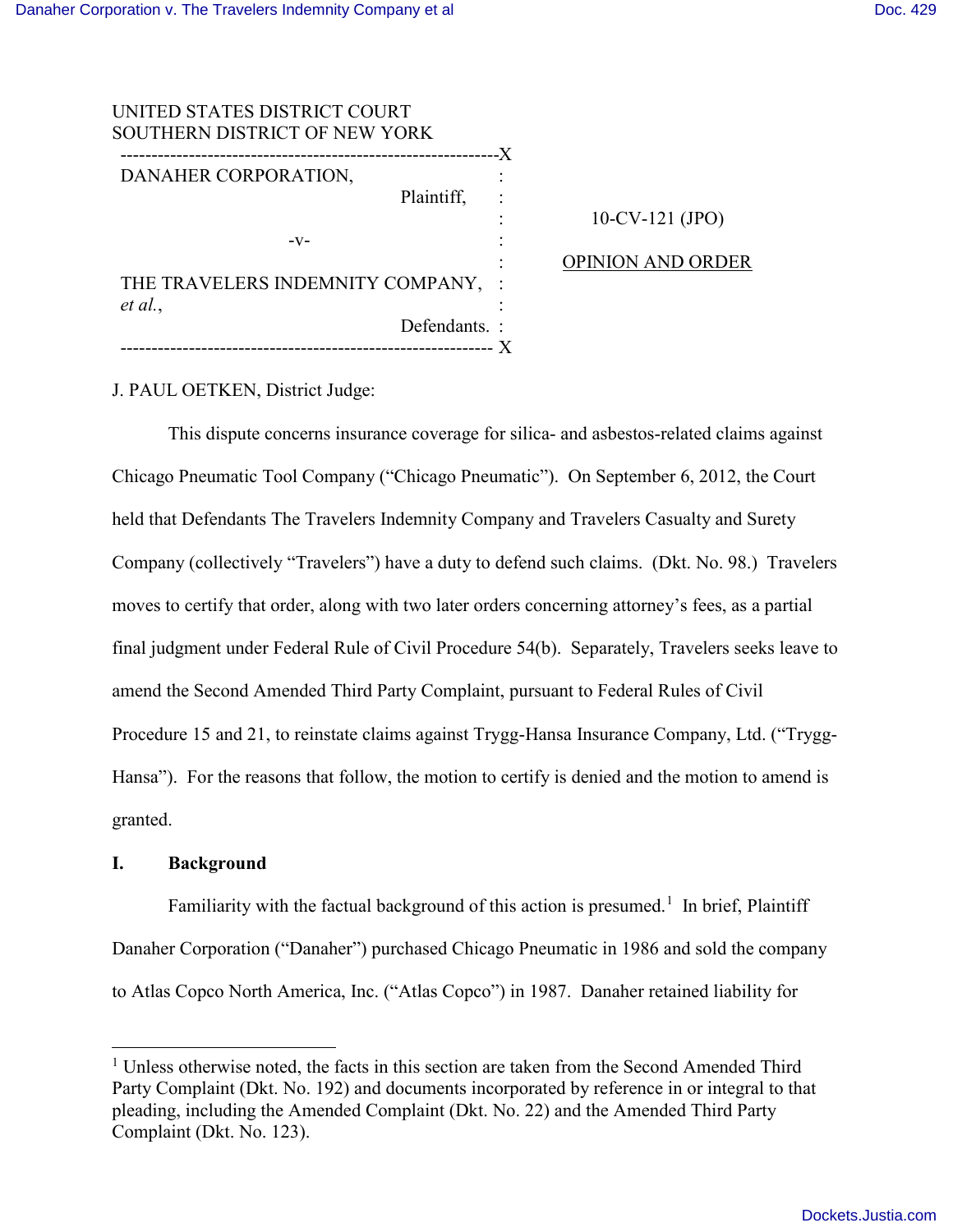| UNITED STATES DISTRICT COURT         |    |
|--------------------------------------|----|
| <b>SOUTHERN DISTRICT OF NEW YORK</b> |    |
|                                      | .X |
| DANAHER CORPORATION.                 |    |
| Plaintiff,                           |    |
|                                      |    |
| -V-                                  |    |
|                                      |    |
| THE TRAVELERS INDEMNITY COMPANY,     |    |
| et al.,                              |    |
| Defendants.:                         |    |
|                                      |    |

## 10-CV-121 (JPO)

### OPINION AND ORDER

J. PAUL OETKEN, District Judge:

 This dispute concerns insurance coverage for silica- and asbestos-related claims against Chicago Pneumatic Tool Company ("Chicago Pneumatic"). On September 6, 2012, the Court held that Defendants The Travelers Indemnity Company and Travelers Casualty and Surety Company (collectively "Travelers") have a duty to defend such claims. (Dkt. No. 98.) Travelers moves to certify that order, along with two later orders concerning attorney's fees, as a partial final judgment under Federal Rule of Civil Procedure 54(b). Separately, Travelers seeks leave to amend the Second Amended Third Party Complaint, pursuant to Federal Rules of Civil Procedure 15 and 21, to reinstate claims against Trygg-Hansa Insurance Company, Ltd. ("Trygg-Hansa"). For the reasons that follow, the motion to certify is denied and the motion to amend is granted.

#### **I. Background**

 $\overline{a}$ 

Familiarity with the factual background of this action is presumed.<sup>[1](#page-0-0)</sup> In brief, Plaintiff Danaher Corporation ("Danaher") purchased Chicago Pneumatic in 1986 and sold the company to Atlas Copco North America, Inc. ("Atlas Copco") in 1987. Danaher retained liability for

<span id="page-0-0"></span><sup>&</sup>lt;sup>1</sup> Unless otherwise noted, the facts in this section are taken from the Second Amended Third Party Complaint (Dkt. No. 192) and documents incorporated by reference in or integral to that pleading, including the Amended Complaint (Dkt. No. 22) and the Amended Third Party Complaint (Dkt. No. 123).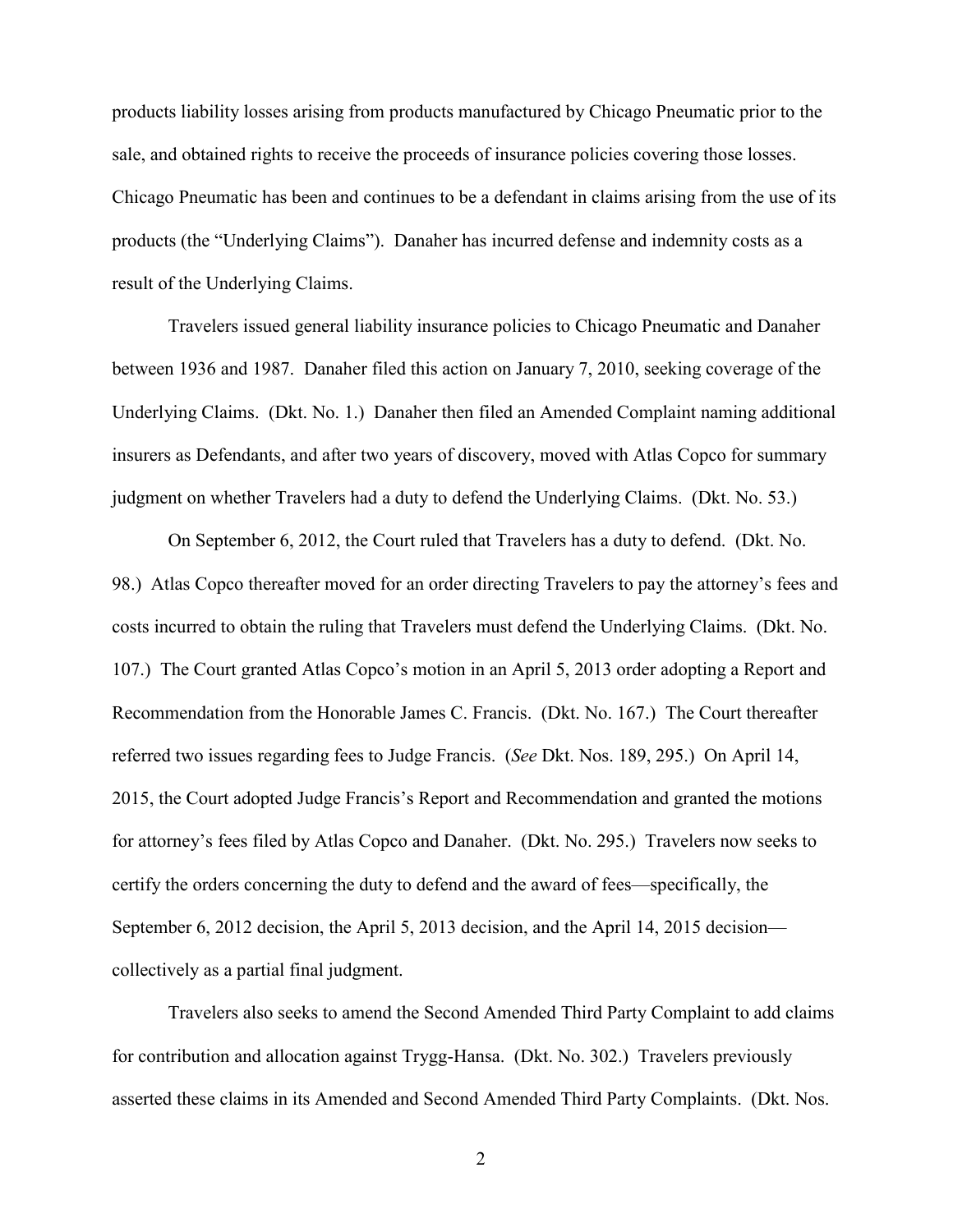products liability losses arising from products manufactured by Chicago Pneumatic prior to the sale, and obtained rights to receive the proceeds of insurance policies covering those losses. Chicago Pneumatic has been and continues to be a defendant in claims arising from the use of its products (the "Underlying Claims"). Danaher has incurred defense and indemnity costs as a result of the Underlying Claims.

Travelers issued general liability insurance policies to Chicago Pneumatic and Danaher between 1936 and 1987. Danaher filed this action on January 7, 2010, seeking coverage of the Underlying Claims. (Dkt. No. 1.) Danaher then filed an Amended Complaint naming additional insurers as Defendants, and after two years of discovery, moved with Atlas Copco for summary judgment on whether Travelers had a duty to defend the Underlying Claims. (Dkt. No. 53.)

On September 6, 2012, the Court ruled that Travelers has a duty to defend. (Dkt. No. 98.) Atlas Copco thereafter moved for an order directing Travelers to pay the attorney's fees and costs incurred to obtain the ruling that Travelers must defend the Underlying Claims. (Dkt. No. 107.) The Court granted Atlas Copco's motion in an April 5, 2013 order adopting a Report and Recommendation from the Honorable James C. Francis. (Dkt. No. 167.) The Court thereafter referred two issues regarding fees to Judge Francis. (*See* Dkt. Nos. 189, 295.) On April 14, 2015, the Court adopted Judge Francis's Report and Recommendation and granted the motions for attorney's fees filed by Atlas Copco and Danaher. (Dkt. No. 295.) Travelers now seeks to certify the orders concerning the duty to defend and the award of fees—specifically, the September 6, 2012 decision, the April 5, 2013 decision, and the April 14, 2015 decision collectively as a partial final judgment.

Travelers also seeks to amend the Second Amended Third Party Complaint to add claims for contribution and allocation against Trygg-Hansa. (Dkt. No. 302.) Travelers previously asserted these claims in its Amended and Second Amended Third Party Complaints. (Dkt. Nos.

2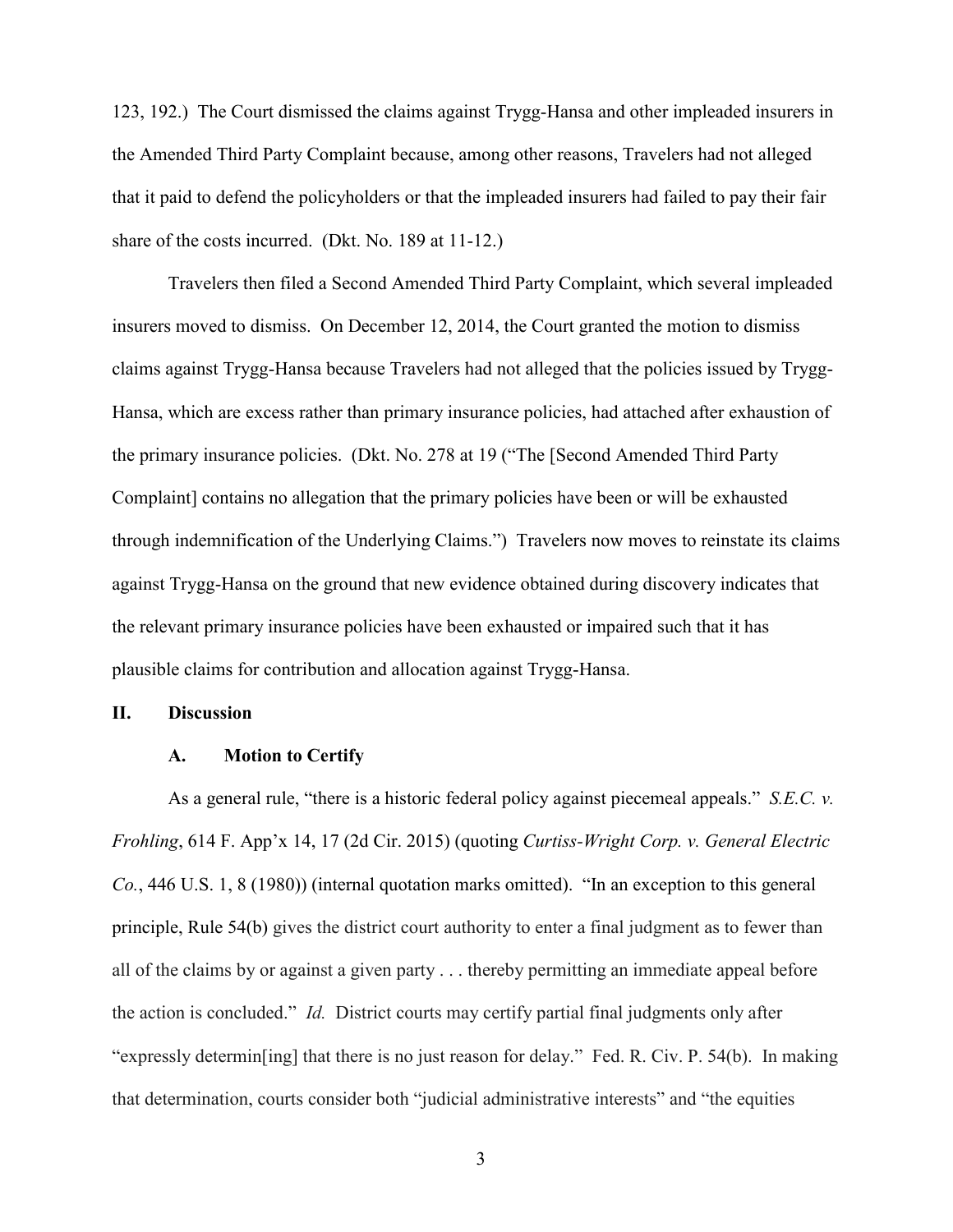123, 192.) The Court dismissed the claims against Trygg-Hansa and other impleaded insurers in the Amended Third Party Complaint because, among other reasons, Travelers had not alleged that it paid to defend the policyholders or that the impleaded insurers had failed to pay their fair share of the costs incurred. (Dkt. No. 189 at 11-12.)

Travelers then filed a Second Amended Third Party Complaint, which several impleaded insurers moved to dismiss. On December 12, 2014, the Court granted the motion to dismiss claims against Trygg-Hansa because Travelers had not alleged that the policies issued by Trygg-Hansa, which are excess rather than primary insurance policies, had attached after exhaustion of the primary insurance policies. (Dkt. No. 278 at 19 ("The [Second Amended Third Party Complaint] contains no allegation that the primary policies have been or will be exhausted through indemnification of the Underlying Claims.") Travelers now moves to reinstate its claims against Trygg-Hansa on the ground that new evidence obtained during discovery indicates that the relevant primary insurance policies have been exhausted or impaired such that it has plausible claims for contribution and allocation against Trygg-Hansa.

### **II. Discussion**

## **A. Motion to Certify**

As a general rule, "there is a historic federal policy against piecemeal appeals." *S.E.C. v. Frohling*, 614 F. App'x 14, 17 (2d Cir. 2015) (quoting *Curtiss-Wright Corp. v. General Electric Co.*, 446 U.S. 1, 8 (1980)) (internal quotation marks omitted). "In an exception to this general principle, Rule 54(b) gives the district court authority to enter a final judgment as to fewer than all of the claims by or against a given party . . . thereby permitting an immediate appeal before the action is concluded." *Id.* District courts may certify partial final judgments only after "expressly determin[ing] that there is no just reason for delay." Fed. R. Civ. P. 54(b). In making that determination, courts consider both "judicial administrative interests" and "the equities

3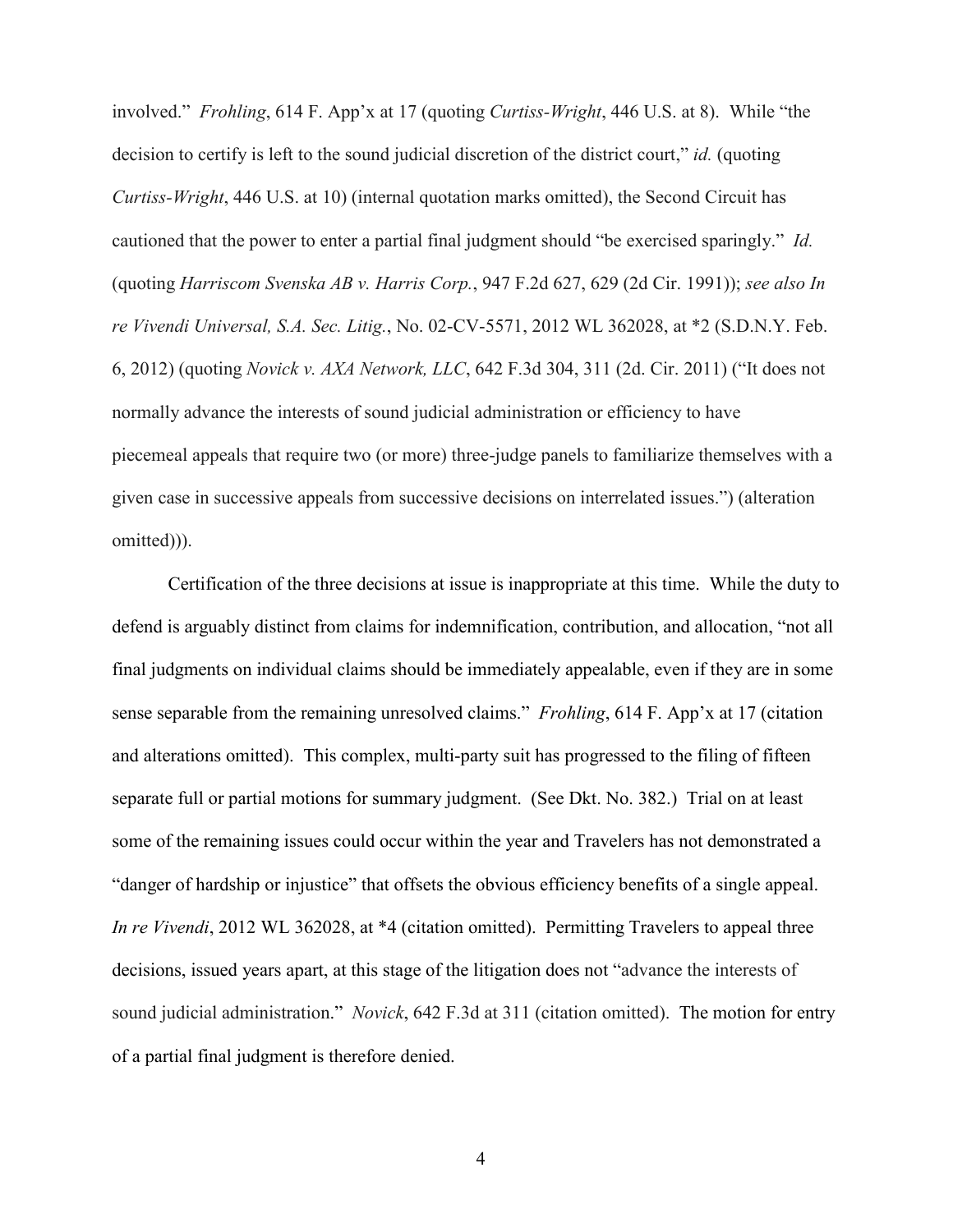involved." *Frohling*, 614 F. App'x at 17 (quoting *Curtiss-Wright*, 446 U.S. at 8). While "the decision to certify is left to the sound judicial discretion of the district court," *id.* (quoting *Curtiss-Wright*, 446 U.S. at 10) (internal quotation marks omitted), the Second Circuit has cautioned that the power to enter a partial final judgment should "be exercised sparingly." *Id.* (quoting *Harriscom Svenska AB v. Harris Corp.*, 947 F.2d 627, 629 (2d Cir. 1991)); *see also In re Vivendi Universal, S.A. Sec. Litig.*, No. 02-CV-5571, 2012 WL 362028, at \*2 (S.D.N.Y. Feb. 6, 2012) (quoting *Novick v. AXA Network, LLC*, 642 F.3d 304, 311 (2d. Cir. 2011) ("It does not normally advance the interests of sound judicial administration or efficiency to have piecemeal appeals that require two (or more) three-judge panels to familiarize themselves with a given case in successive appeals from successive decisions on interrelated issues.") (alteration omitted))).

Certification of the three decisions at issue is inappropriate at this time. While the duty to defend is arguably distinct from claims for indemnification, contribution, and allocation, "not all final judgments on individual claims should be immediately appealable, even if they are in some sense separable from the remaining unresolved claims." *Frohling*, 614 F. App'x at 17 (citation and alterations omitted). This complex, multi-party suit has progressed to the filing of fifteen separate full or partial motions for summary judgment. (See Dkt. No. 382.) Trial on at least some of the remaining issues could occur within the year and Travelers has not demonstrated a "danger of hardship or injustice" that offsets the obvious efficiency benefits of a single appeal. *In re Vivendi*, 2012 WL 362028, at \*4 (citation omitted). Permitting Travelers to appeal three decisions, issued years apart, at this stage of the litigation does not "advance the interests of sound judicial administration." *Novick*, 642 F.3d at 311 (citation omitted). The motion for entry of a partial final judgment is therefore denied.

4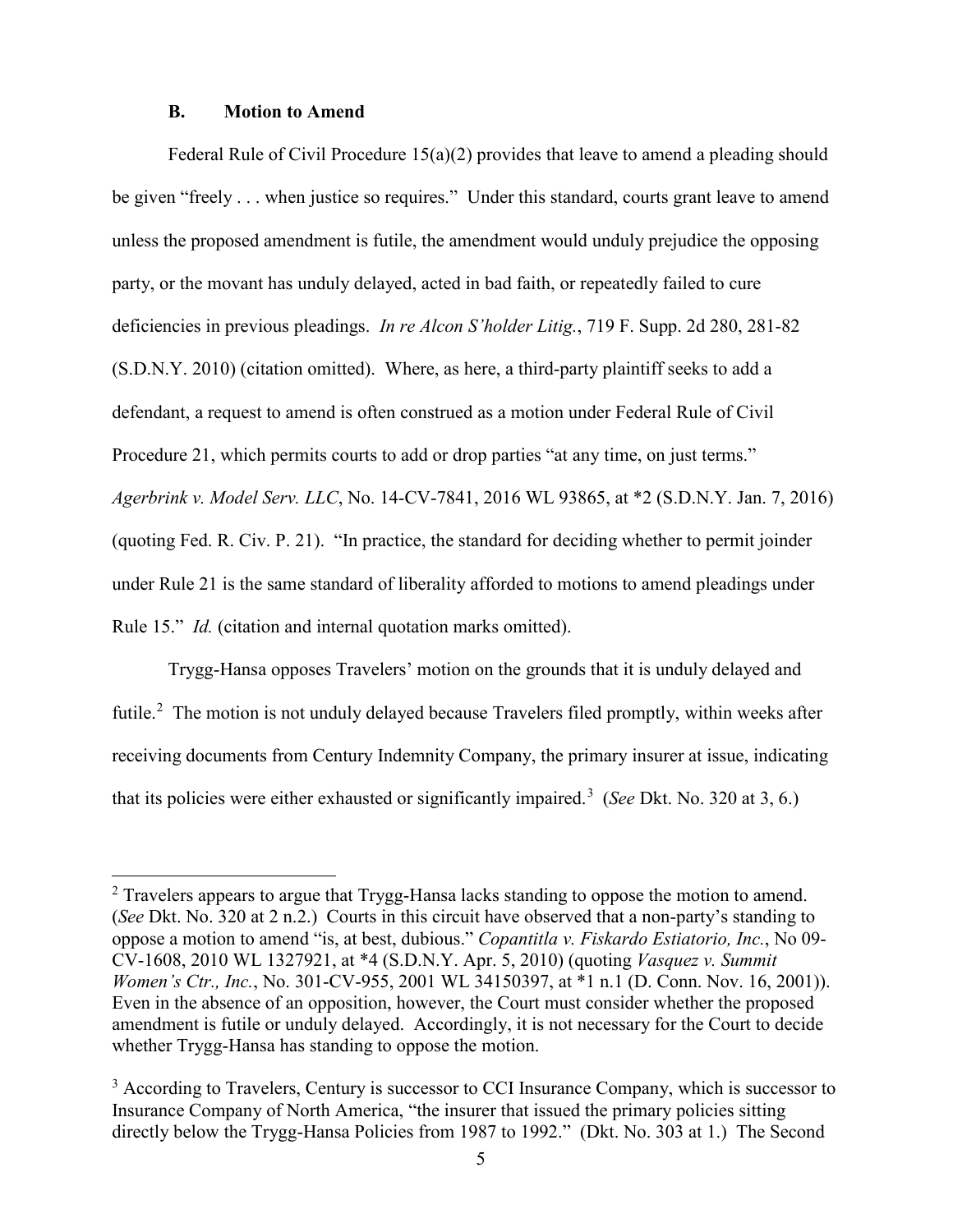## **B. Motion to Amend**

 $\overline{a}$ 

Federal Rule of Civil Procedure 15(a)(2) provides that leave to amend a pleading should be given "freely . . . when justice so requires." Under this standard, courts grant leave to amend unless the proposed amendment is futile, the amendment would unduly prejudice the opposing party, or the movant has unduly delayed, acted in bad faith, or repeatedly failed to cure deficiencies in previous pleadings. *In re Alcon S'holder Litig.*, 719 F. Supp. 2d 280, 281-82 (S.D.N.Y. 2010) (citation omitted). Where, as here, a third-party plaintiff seeks to add a defendant, a request to amend is often construed as a motion under Federal Rule of Civil Procedure 21, which permits courts to add or drop parties "at any time, on just terms." *Agerbrink v. Model Serv. LLC*, No. 14-CV-7841, 2016 WL 93865, at \*2 (S.D.N.Y. Jan. 7, 2016) (quoting Fed. R. Civ. P. 21). "In practice, the standard for deciding whether to permit joinder under Rule 21 is the same standard of liberality afforded to motions to amend pleadings under Rule 15." *Id.* (citation and internal quotation marks omitted).

Trygg-Hansa opposes Travelers' motion on the grounds that it is unduly delayed and futile.<sup>[2](#page-4-0)</sup> The motion is not unduly delayed because Travelers filed promptly, within weeks after receiving documents from Century Indemnity Company, the primary insurer at issue, indicating that its policies were either exhausted or significantly impaired.[3](#page-4-1) (*See* Dkt. No. 320 at 3, 6.)

<span id="page-4-0"></span> $2$  Travelers appears to argue that Trygg-Hansa lacks standing to oppose the motion to amend. (*See* Dkt. No. 320 at 2 n.2.) Courts in this circuit have observed that a non-party's standing to oppose a motion to amend "is, at best, dubious." *Copantitla v. Fiskardo Estiatorio, Inc.*, No 09- CV-1608, 2010 WL 1327921, at \*4 (S.D.N.Y. Apr. 5, 2010) (quoting *Vasquez v. Summit Women's Ctr., Inc., No.* 301-CV-955, 2001 WL 34150397, at \*1 n.1 (D. Conn. Nov. 16, 2001)). Even in the absence of an opposition, however, the Court must consider whether the proposed amendment is futile or unduly delayed. Accordingly, it is not necessary for the Court to decide whether Trygg-Hansa has standing to oppose the motion.

<span id="page-4-1"></span><sup>&</sup>lt;sup>3</sup> According to Travelers, Century is successor to CCI Insurance Company, which is successor to Insurance Company of North America, "the insurer that issued the primary policies sitting directly below the Trygg-Hansa Policies from 1987 to 1992." (Dkt. No. 303 at 1.) The Second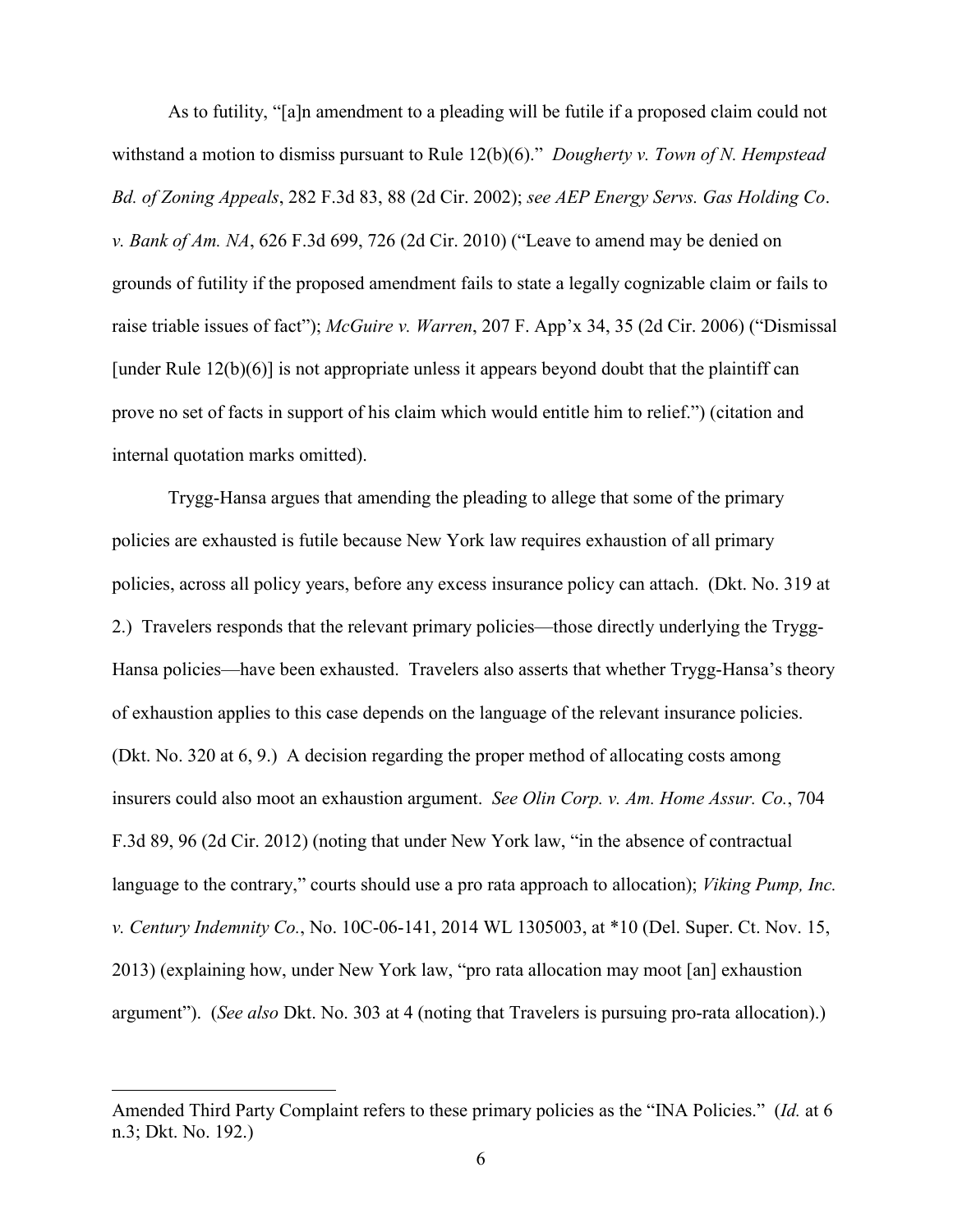As to futility, "[a]n amendment to a pleading will be futile if a proposed claim could not withstand a motion to dismiss pursuant to Rule 12(b)(6)." *Dougherty v. Town of N. Hempstead Bd. of Zoning Appeals*, 282 F.3d 83, 88 (2d Cir. 2002); *see AEP Energy Servs. Gas Holding Co*. *v. Bank of Am. NA*, 626 F.3d 699, 726 (2d Cir. 2010) ("Leave to amend may be denied on grounds of futility if the proposed amendment fails to state a legally cognizable claim or fails to raise triable issues of fact"); *McGuire v. Warren*, 207 F. App'x 34, 35 (2d Cir. 2006) ("Dismissal [under Rule 12(b)(6)] is not appropriate unless it appears beyond doubt that the plaintiff can prove no set of facts in support of his claim which would entitle him to relief.") (citation and internal quotation marks omitted).

Trygg-Hansa argues that amending the pleading to allege that some of the primary policies are exhausted is futile because New York law requires exhaustion of all primary policies, across all policy years, before any excess insurance policy can attach. (Dkt. No. 319 at 2.) Travelers responds that the relevant primary policies—those directly underlying the Trygg-Hansa policies—have been exhausted. Travelers also asserts that whether Trygg-Hansa's theory of exhaustion applies to this case depends on the language of the relevant insurance policies. (Dkt. No. 320 at 6, 9.) A decision regarding the proper method of allocating costs among insurers could also moot an exhaustion argument. *See Olin Corp. v. Am. Home Assur. Co.*, 704 F.3d 89, 96 (2d Cir. 2012) (noting that under New York law, "in the absence of contractual language to the contrary," courts should use a pro rata approach to allocation); *Viking Pump, Inc. v. Century Indemnity Co.*, No. 10C-06-141, 2014 WL 1305003, at \*10 (Del. Super. Ct. Nov. 15, 2013) (explaining how, under New York law, "pro rata allocation may moot [an] exhaustion argument"). (*See also* Dkt. No. 303 at 4 (noting that Travelers is pursuing pro-rata allocation).)

-

Amended Third Party Complaint refers to these primary policies as the "INA Policies." (*Id.* at 6 n.3; Dkt. No. 192.)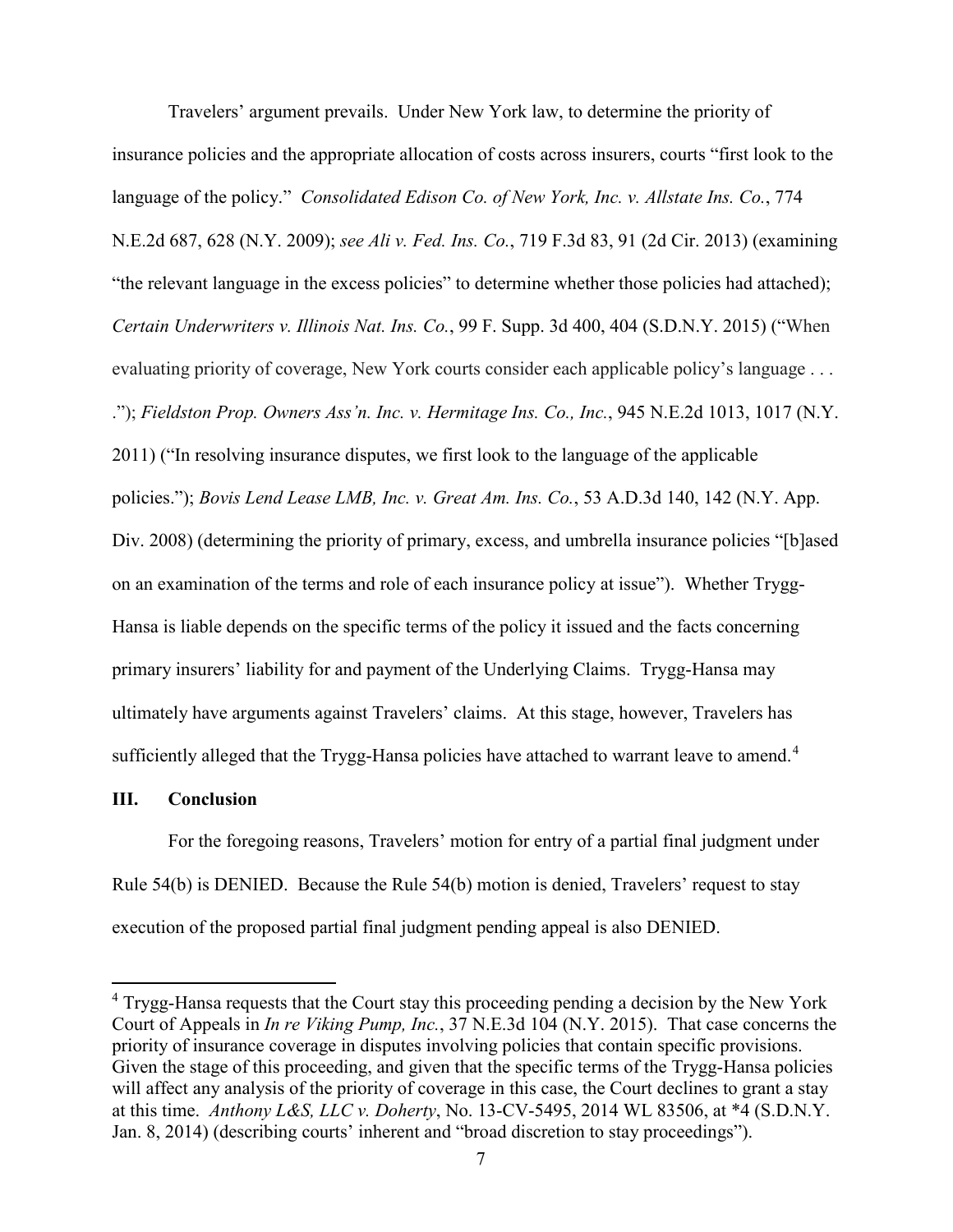Travelers' argument prevails. Under New York law, to determine the priority of insurance policies and the appropriate allocation of costs across insurers, courts "first look to the language of the policy." *Consolidated Edison Co. of New York, Inc. v. Allstate Ins. Co.*, 774 N.E.2d 687, 628 (N.Y. 2009); *see Ali v. Fed. Ins. Co.*, 719 F.3d 83, 91 (2d Cir. 2013) (examining "the relevant language in the excess policies" to determine whether those policies had attached); *Certain Underwriters v. Illinois Nat. Ins. Co.*, 99 F. Supp. 3d 400, 404 (S.D.N.Y. 2015) ("When evaluating priority of coverage, New York courts consider each applicable policy's language . . . ."); *Fieldston Prop. Owners Ass'n. Inc. v. Hermitage Ins. Co., Inc.*, 945 N.E.2d 1013, 1017 (N.Y. 2011) ("In resolving insurance disputes, we first look to the language of the applicable policies."); *Bovis Lend Lease LMB, Inc. v. Great Am. Ins. Co.*, 53 A.D.3d 140, 142 (N.Y. App. Div. 2008) (determining the priority of primary, excess, and umbrella insurance policies "[b]ased on an examination of the terms and role of each insurance policy at issue"). Whether Trygg-Hansa is liable depends on the specific terms of the policy it issued and the facts concerning primary insurers' liability for and payment of the Underlying Claims. Trygg-Hansa may ultimately have arguments against Travelers' claims. At this stage, however, Travelers has sufficiently alleged that the Trygg-Hansa policies have attached to warrant leave to amend.<sup>[4](#page-6-0)</sup>

# **III. Conclusion**

-

 For the foregoing reasons, Travelers' motion for entry of a partial final judgment under Rule 54(b) is DENIED. Because the Rule 54(b) motion is denied, Travelers' request to stay execution of the proposed partial final judgment pending appeal is also DENIED.

<span id="page-6-0"></span><sup>&</sup>lt;sup>4</sup> Trygg-Hansa requests that the Court stay this proceeding pending a decision by the New York Court of Appeals in *In re Viking Pump, Inc.*, 37 N.E.3d 104 (N.Y. 2015). That case concerns the priority of insurance coverage in disputes involving policies that contain specific provisions. Given the stage of this proceeding, and given that the specific terms of the Trygg-Hansa policies will affect any analysis of the priority of coverage in this case, the Court declines to grant a stay at this time. *Anthony L&S, LLC v. Doherty*, No. 13-CV-5495, 2014 WL 83506, at \*4 (S.D.N.Y. Jan. 8, 2014) (describing courts' inherent and "broad discretion to stay proceedings").